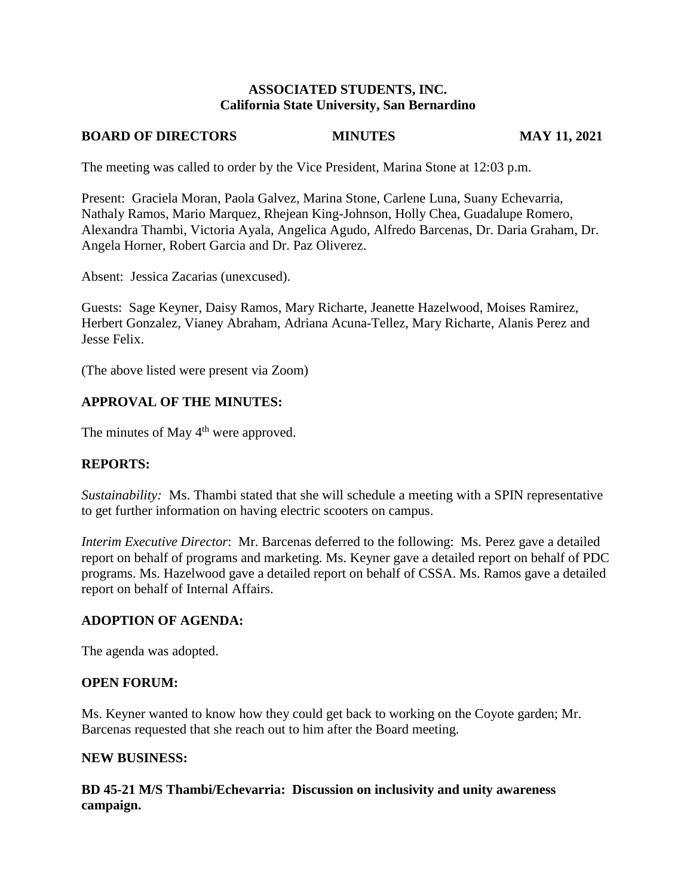## **ASSOCIATED STUDENTS, INC. California State University, San Bernardino**

#### **BOARD OF DIRECTORS MINUTES MAY 11, 2021**

The meeting was called to order by the Vice President, Marina Stone at 12:03 p.m.

Present: Graciela Moran, Paola Galvez, Marina Stone, Carlene Luna, Suany Echevarria, Nathaly Ramos, Mario Marquez, Rhejean King-Johnson, Holly Chea, Guadalupe Romero, Alexandra Thambi, Victoria Ayala, Angelica Agudo, Alfredo Barcenas, Dr. Daria Graham, Dr. Angela Horner, Robert Garcia and Dr. Paz Oliverez.

Absent: Jessica Zacarias (unexcused).

Guests: Sage Keyner, Daisy Ramos, Mary Richarte, Jeanette Hazelwood, Moises Ramirez, Herbert Gonzalez, Vianey Abraham, Adriana Acuna-Tellez, Mary Richarte, Alanis Perez and Jesse Felix.

(The above listed were present via Zoom)

# **APPROVAL OF THE MINUTES:**

The minutes of May  $4<sup>th</sup>$  were approved.

## **REPORTS:**

*Sustainability:* Ms. Thambi stated that she will schedule a meeting with a SPIN representative to get further information on having electric scooters on campus.

*Interim Executive Director*: Mr. Barcenas deferred to the following: Ms. Perez gave a detailed report on behalf of programs and marketing. Ms. Keyner gave a detailed report on behalf of PDC programs. Ms. Hazelwood gave a detailed report on behalf of CSSA. Ms. Ramos gave a detailed report on behalf of Internal Affairs.

## **ADOPTION OF AGENDA:**

The agenda was adopted.

#### **OPEN FORUM:**

Ms. Keyner wanted to know how they could get back to working on the Coyote garden; Mr. Barcenas requested that she reach out to him after the Board meeting.

#### **NEW BUSINESS:**

**BD 45-21 M/S Thambi/Echevarria: Discussion on inclusivity and unity awareness campaign.**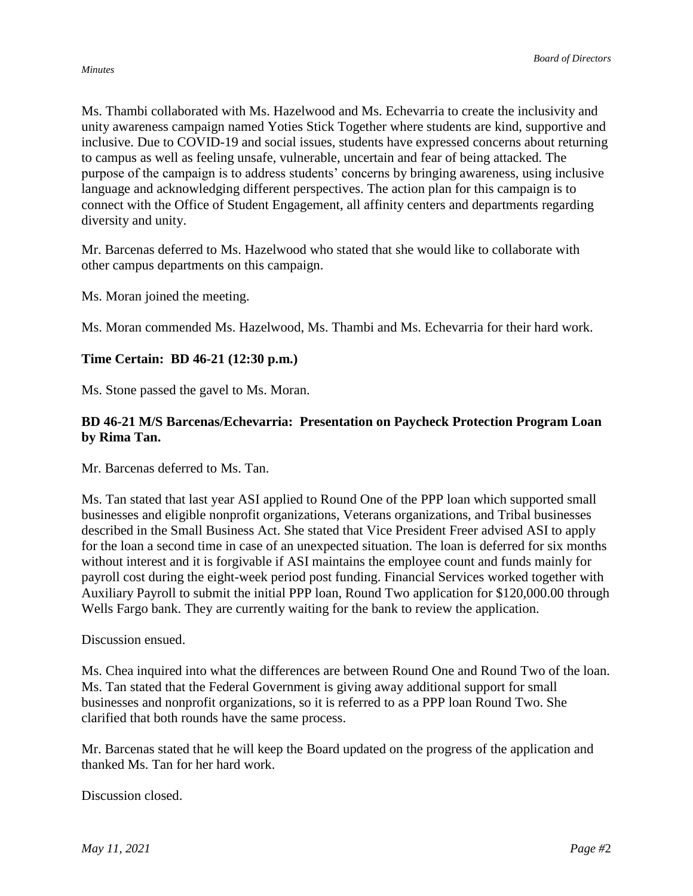Ms. Thambi collaborated with Ms. Hazelwood and Ms. Echevarria to create the inclusivity and unity awareness campaign named Yoties Stick Together where students are kind, supportive and inclusive. Due to COVID-19 and social issues, students have expressed concerns about returning to campus as well as feeling unsafe, vulnerable, uncertain and fear of being attacked. The purpose of the campaign is to address students' concerns by bringing awareness, using inclusive language and acknowledging different perspectives. The action plan for this campaign is to connect with the Office of Student Engagement, all affinity centers and departments regarding diversity and unity.

Mr. Barcenas deferred to Ms. Hazelwood who stated that she would like to collaborate with other campus departments on this campaign.

Ms. Moran joined the meeting.

Ms. Moran commended Ms. Hazelwood, Ms. Thambi and Ms. Echevarria for their hard work.

## **Time Certain: BD 46-21 (12:30 p.m.)**

Ms. Stone passed the gavel to Ms. Moran.

## **BD 46-21 M/S Barcenas/Echevarria: Presentation on Paycheck Protection Program Loan by Rima Tan.**

Mr. Barcenas deferred to Ms. Tan.

Ms. Tan stated that last year ASI applied to Round One of the PPP loan which supported small businesses and eligible nonprofit organizations, Veterans organizations, and Tribal businesses described in the Small Business Act. She stated that Vice President Freer advised ASI to apply for the loan a second time in case of an unexpected situation. The loan is deferred for six months without interest and it is forgivable if ASI maintains the employee count and funds mainly for payroll cost during the eight-week period post funding. Financial Services worked together with Auxiliary Payroll to submit the initial PPP loan, Round Two application for \$120,000.00 through Wells Fargo bank. They are currently waiting for the bank to review the application.

Discussion ensued.

Ms. Chea inquired into what the differences are between Round One and Round Two of the loan. Ms. Tan stated that the Federal Government is giving away additional support for small businesses and nonprofit organizations, so it is referred to as a PPP loan Round Two. She clarified that both rounds have the same process.

Mr. Barcenas stated that he will keep the Board updated on the progress of the application and thanked Ms. Tan for her hard work.

Discussion closed.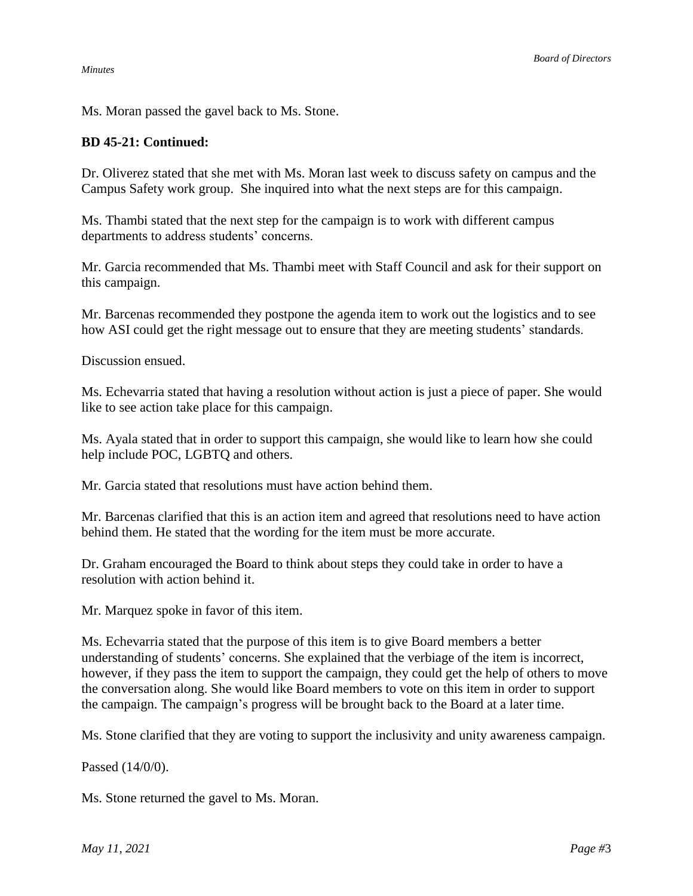Ms. Moran passed the gavel back to Ms. Stone.

### **BD 45-21: Continued:**

Dr. Oliverez stated that she met with Ms. Moran last week to discuss safety on campus and the Campus Safety work group. She inquired into what the next steps are for this campaign.

Ms. Thambi stated that the next step for the campaign is to work with different campus departments to address students' concerns.

Mr. Garcia recommended that Ms. Thambi meet with Staff Council and ask for their support on this campaign.

Mr. Barcenas recommended they postpone the agenda item to work out the logistics and to see how ASI could get the right message out to ensure that they are meeting students' standards.

Discussion ensued.

Ms. Echevarria stated that having a resolution without action is just a piece of paper. She would like to see action take place for this campaign.

Ms. Ayala stated that in order to support this campaign, she would like to learn how she could help include POC, LGBTQ and others.

Mr. Garcia stated that resolutions must have action behind them.

Mr. Barcenas clarified that this is an action item and agreed that resolutions need to have action behind them. He stated that the wording for the item must be more accurate.

Dr. Graham encouraged the Board to think about steps they could take in order to have a resolution with action behind it.

Mr. Marquez spoke in favor of this item.

Ms. Echevarria stated that the purpose of this item is to give Board members a better understanding of students' concerns. She explained that the verbiage of the item is incorrect, however, if they pass the item to support the campaign, they could get the help of others to move the conversation along. She would like Board members to vote on this item in order to support the campaign. The campaign's progress will be brought back to the Board at a later time.

Ms. Stone clarified that they are voting to support the inclusivity and unity awareness campaign.

Passed (14/0/0).

Ms. Stone returned the gavel to Ms. Moran.